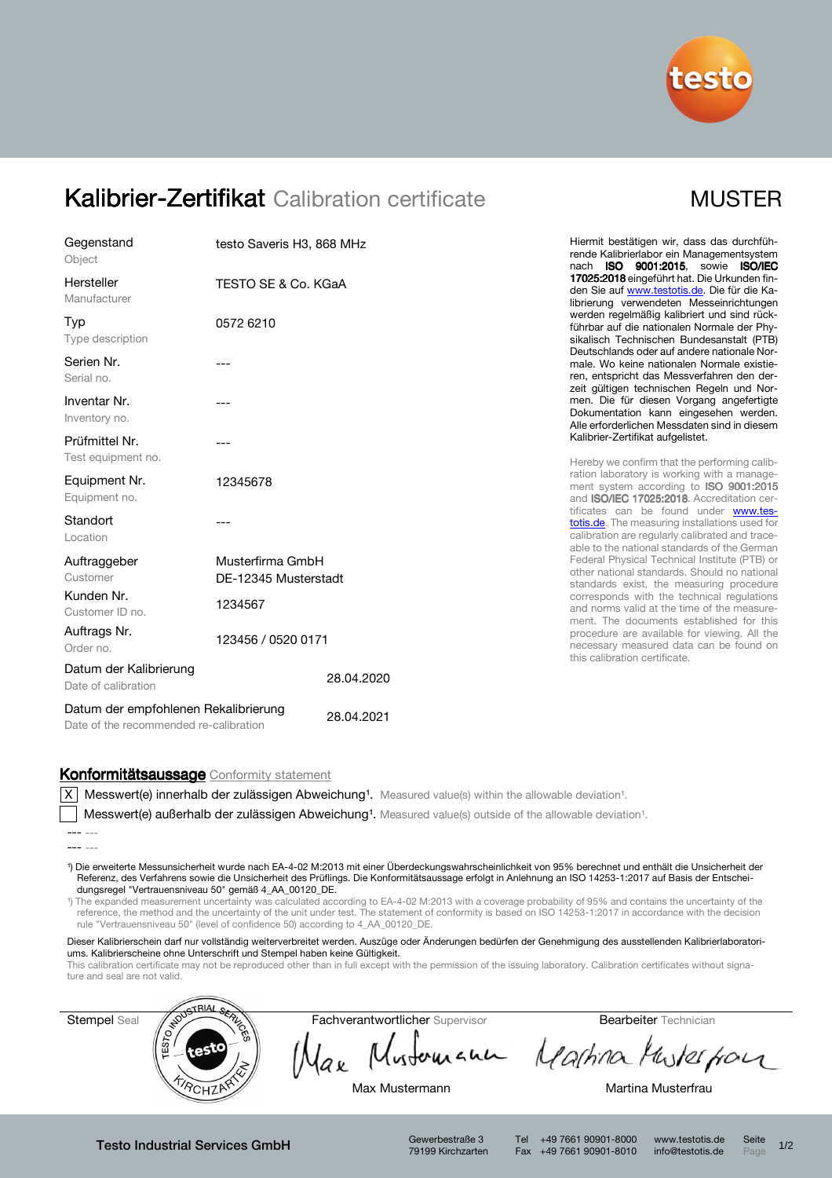

# Kalibrier-Zertifikat Calibration certificate MUSTER

| Gegenstand<br>Object                                                           | testo Saveris H3, 868 MHz                |            |
|--------------------------------------------------------------------------------|------------------------------------------|------------|
| Hersteller<br>Manufacturer                                                     | TESTO SE & Co. KGaA                      |            |
| Typ<br>Type description                                                        | 0572 6210                                |            |
| Serien Nr.<br>Serial no.                                                       | ---                                      |            |
| Inventar Nr.<br>Inventory no.                                                  | ---                                      |            |
| Prüfmittel Nr.<br>Test equipment no.                                           | ---                                      |            |
| Equipment Nr.<br>Equipment no.                                                 | 12345678                                 |            |
| Standort<br>Location                                                           |                                          |            |
| Auftraggeber<br>Customer                                                       | Musterfirma GmbH<br>DE-12345 Musterstadt |            |
| Kunden Nr.<br>Customer ID no.                                                  | 1234567                                  |            |
| Auftrags Nr.<br>Order no.                                                      | 123456 / 0520 0171                       |            |
| Datum der Kalibrierung<br>Date of calibration                                  |                                          | 28.04.2020 |
| Datum der empfohlenen Rekalibrierung<br>Date of the recommended re-calibration | 28.04.2021                               |            |

Hiermit bestätigen wir, dass das durchführende Kalibrierlabor ein Managementsystem nach ISO 9001:2015, sowie ISO/IEC 17025:2018 eingeführt hat. Die Urkunden finden Sie auf www.testotis.de. Die für die Kalibrierung verwendeten Messeinrichtungen werden regelmäßig kalibriert und sind rückführbar auf die nationalen Normale der Physikalisch Technischen Bundesanstalt (PTB) Deutschlands oder auf andere nationale Normale. Wo keine nationalen Normale existieren, entspricht das Messverfahren den derzeit gültigen technischen Regeln und Normen. Die für diesen Vorgang angefertigte Dokumentation kann eingesehen werden. Alle erforderlichen Messdaten sind in diesem Kalibrier-Zertifikat aufgelistet.

Hereby we confirm that the performing calibration laboratory is working with a management system according to **ISO 9001:2015** and ISO/IEC 17025:2018. Accreditation certificates can be found under www.testotis.de. The measuring installations used for calibration are regularly calibrated and traceable to the national standards of the German Federal Physical Technical Institute (PTB) or other national standards. Should no national standards exist, the measuring procedure corresponds with the technical regulations and norms valid at the time of the measurement. The documents established for this procedure are available for viewing. All the necessary measured data can be found on this calibration certificate.

#### Konformitätsaussage Conformity statement

 $|X|$  Messwert(e) innerhalb der zulässigen Abweichung<sup>1</sup>. Measured value(s) within the allowable deviation<sup>1</sup>.

Messwert(e) außerhalb der zulässigen Abweichung<sup>1</sup>. Measured value(s) outside of the allowable deviation<sup>1</sup>.

¹) Die erweiterte Messunsicherheit wurde nach EA-4-02 M:2013 mit einer Überdeckungswahrscheinlichkeit von 95% berechnet und enthält die Unsicherheit der Referenz, des Verfahrens sowie die Unsicherheit des Prüflings. Die Konformitätsaussage erfolgt in Anlehnung an ISO 14253-1:2017 auf Basis der Entscheidungsregel "Vertrauensniveau 50" gemäß 4\_AA\_00120\_DE.

¹) The expanded measurement uncertainty was calculated according to EA-4-02 M:2013 with a coverage probability of 95% and contains the uncertainty of the reference, the method and the uncertainty of the unit under test. The statement of conformity is based on ISO 14253-1:2017 in accordance with the decision rule "Vertrauensniveau 50" (level of confidence 50) according to 4\_AA\_00120\_DE.

Dieser Kalibrierschein darf nur vollständig weiterverbreitet werden. Auszüge oder Änderungen bedürfen der Genehmigung des ausstellenden Kalibrierlaboratoriums. Kalibrierscheine ohne Unterschrift und Stempel haben keine Gültigkeit.

This calibration certificate may not be reproduced other than in full except with the permission of the issuing laboratory. Calibration certificates without signature and seal are not valid.



Testo Industrial Services GmbH Gewerbestraße 3

79199 Kirchzarten

Tel +49 7661 90901-8000 www.testotis.de Seite 1/2 Fax +49 7661 90901-8010 info@testotis.de Page

<sup>---</sup> ---